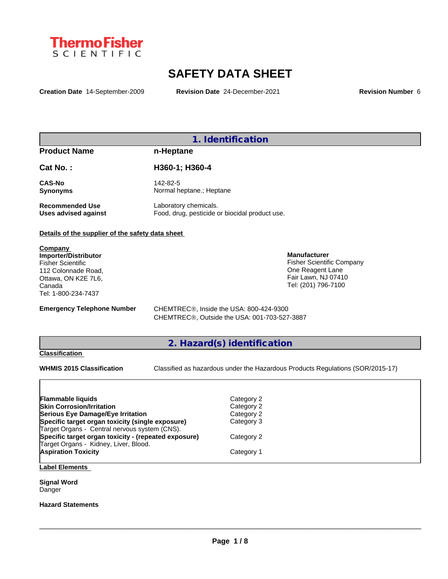

# **SAFETY DATA SHEET**

**Creation Date** 14-September-2009 **Revision Date** 24-December-2021 **Revision Number** 6

## **1. Identification**

## **Product Name n-Heptane**

| Cat No.:        | H360-1; H360-4           |
|-----------------|--------------------------|
| <b>CAS-No</b>   | 142-82-5                 |
| <b>Synonyms</b> | Normal heptane.; Heptane |

**Recommended Use** Laboratory chemicals.<br> **Uses advised against** Food, drug, pesticide of Food, drug, pesticide or biocidal product use.

#### **Details of the supplier of the safety data sheet**

**Company Importer/Distributor** Fisher Scientific 112 Colonnade Road, Ottawa, ON K2E 7L6, Canada Tel: 1-800-234-7437

**Emergency Telephone Number** CHEMTREC<sup>®</sup>, Inside the USA: 800-424-9300 CHEMTREC®, Outside the USA: 001-703-527-3887

## **2. Hazard(s) identification**

#### **Classification**

**WHMIS 2015 Classification** Classified as hazardous under the Hazardous Products Regulations (SOR/2015-17)

 $\_$  ,  $\_$  ,  $\_$  ,  $\_$  ,  $\_$  ,  $\_$  ,  $\_$  ,  $\_$  ,  $\_$  ,  $\_$  ,  $\_$  ,  $\_$  ,  $\_$  ,  $\_$  ,  $\_$  ,  $\_$  ,  $\_$  ,  $\_$  ,  $\_$  ,  $\_$  ,  $\_$  ,  $\_$  ,  $\_$  ,  $\_$  ,  $\_$  ,  $\_$  ,  $\_$  ,  $\_$  ,  $\_$  ,  $\_$  ,  $\_$  ,  $\_$  ,  $\_$  ,  $\_$  ,  $\_$  ,  $\_$  ,  $\_$  ,

**Manufacturer**

Fisher Scientific Company One Reagent Lane Fair Lawn, NJ 07410 Tel: (201) 796-7100

| <b>Flammable liquids</b>                             | Category 2 |
|------------------------------------------------------|------------|
| <b>Skin Corrosion/Irritation</b>                     | Category 2 |
| Serious Eye Damage/Eye Irritation                    | Category 2 |
| Specific target organ toxicity (single exposure)     | Category 3 |
| Target Organs - Central nervous system (CNS).        |            |
| Specific target organ toxicity - (repeated exposure) | Category 2 |
| Target Organs - Kidney, Liver, Blood.                |            |
| <b>Aspiration Toxicity</b>                           | Category 1 |
|                                                      |            |

### **Label Elements**

**Signal Word** Danger

**Hazard Statements**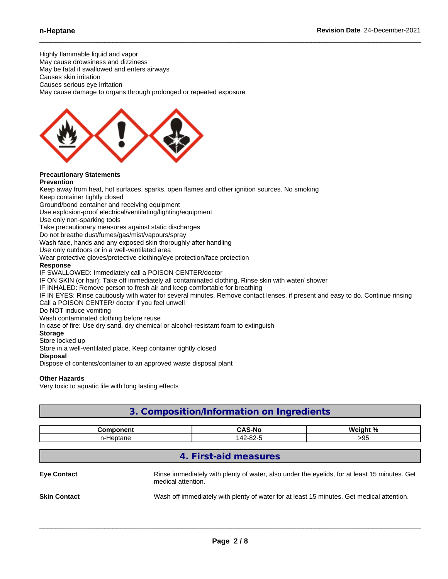Highly flammable liquid and vapor

May cause drowsiness and dizziness May be fatal if swallowed and enters airways

Causes skin irritation

Causes serious eye irritation

May cause damage to organs through prolonged or repeated exposure



#### **Precautionary Statements Prevention**

Keep away from heat, hot surfaces, sparks, open flames and other ignition sources. No smoking

Keep container tightly closed

Ground/bond container and receiving equipment

Use explosion-proof electrical/ventilating/lighting/equipment

Use only non-sparking tools

Take precautionary measures against static discharges

Do not breathe dust/fumes/gas/mist/vapours/spray

Wash face, hands and any exposed skin thoroughly after handling

Use only outdoors or in a well-ventilated area

Wear protective gloves/protective clothing/eye protection/face protection

#### **Response**

IF SWALLOWED: Immediately call a POISON CENTER/doctor

IF ON SKIN (or hair): Take off immediately all contaminated clothing. Rinse skin with water/ shower

IF INHALED: Remove person to fresh air and keep comfortable for breathing

IF IN EYES: Rinse cautiously with water for several minutes. Remove contact lenses, if present and easy to do. Continue rinsing Call a POISON CENTER/ doctor if you feel unwell

Do NOT induce vomiting

Wash contaminated clothing before reuse

In case of fire: Use dry sand, dry chemical or alcohol-resistant foam to extinguish

#### **Storage**

Store locked up

Store in a well-ventilated place. Keep container tightly closed

#### **Disposal**

Dispose of contents/container to an approved waste disposal plant

#### **Other Hazards**

Very toxic to aquatic life with long lasting effects

| 3. Composition/Information on Ingredients |                    |                       |                                                                                              |  |
|-------------------------------------------|--------------------|-----------------------|----------------------------------------------------------------------------------------------|--|
|                                           | <b>Component</b>   | <b>CAS-No</b>         | Weight %                                                                                     |  |
|                                           | n-Heptane          | 142-82-5              | >95                                                                                          |  |
| <b>Eye Contact</b>                        | medical attention. | 4. First-aid measures | Rinse immediately with plenty of water, also under the eyelids, for at least 15 minutes. Get |  |
| <b>Skin Contact</b>                       |                    |                       | Wash off immediately with plenty of water for at least 15 minutes. Get medical attention.    |  |
|                                           |                    |                       |                                                                                              |  |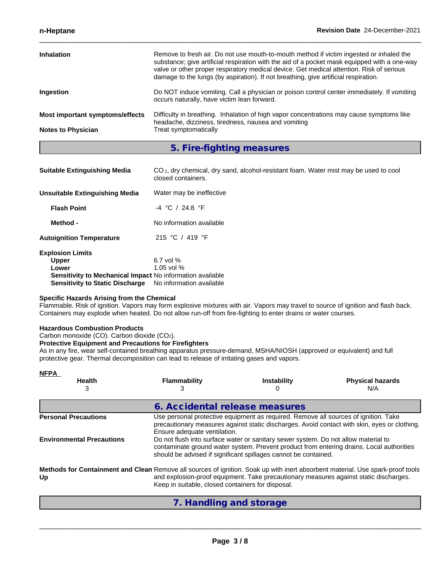| <b>Inhalation</b>                                            | Remove to fresh air. Do not use mouth-to-mouth method if victim ingested or inhaled the<br>substance; give artificial respiration with the aid of a pocket mask equipped with a one-way<br>valve or other proper respiratory medical device. Get medical attention. Risk of serious<br>damage to the lungs (by aspiration). If not breathing, give artificial respiration. |
|--------------------------------------------------------------|----------------------------------------------------------------------------------------------------------------------------------------------------------------------------------------------------------------------------------------------------------------------------------------------------------------------------------------------------------------------------|
| Ingestion                                                    | Do NOT induce vomiting. Call a physician or poison control center immediately. If vomiting<br>occurs naturally, have victim lean forward.                                                                                                                                                                                                                                  |
| Most important symptoms/effects<br><b>Notes to Physician</b> | Difficulty in breathing. Inhalation of high vapor concentrations may cause symptoms like<br>headache, dizziness, tiredness, nausea and vomiting<br>Treat symptomatically                                                                                                                                                                                                   |

**5. Fire-fighting measures**

| <b>Suitable Extinguishing Media</b>                                                                                                                                              | CO <sub>2</sub> , dry chemical, dry sand, alcohol-resistant foam. Water mist may be used to cool<br>closed containers. |
|----------------------------------------------------------------------------------------------------------------------------------------------------------------------------------|------------------------------------------------------------------------------------------------------------------------|
| Unsuitable Extinguishing Media                                                                                                                                                   | Water may be ineffective                                                                                               |
| <b>Flash Point</b>                                                                                                                                                               | $-4$ °C / 24.8 °F                                                                                                      |
| Method -                                                                                                                                                                         | No information available                                                                                               |
| <b>Autoignition Temperature</b>                                                                                                                                                  | 215 °C / 419 °F                                                                                                        |
| <b>Explosion Limits</b><br><b>Upper</b><br>Lower<br>Sensitivity to Mechanical Impact No information available<br><b>Sensitivity to Static Discharge</b> No information available | 6.7 vol $%$<br>1.05 vol $%$                                                                                            |

#### **Specific Hazards Arising from the Chemical**

Flammable. Risk of ignition. Vapors may form explosive mixtures with air. Vapors may travel to source of ignition and flash back. Containers may explode when heated. Do not allow run-off from fire-fighting to enter drains or water courses.

#### **Hazardous Combustion Products**

Carbon monoxide (CO). Carbon dioxide (CO2).

#### **Protective Equipment and Precautions for Firefighters**

As in any fire, wear self-contained breathing apparatus pressure-demand, MSHA/NIOSH (approved or equivalent) and full protective gear. Thermal decomposition can lead to release of irritating gases and vapors.

| <b>NFPA</b><br><b>Health</b><br>3                                                                                                    | <b>Flammability</b>                               | <b>Instability</b>                                                                                                                                                                                                                           | <b>Physical hazards</b><br>N/A                                                                                                                                                           |
|--------------------------------------------------------------------------------------------------------------------------------------|---------------------------------------------------|----------------------------------------------------------------------------------------------------------------------------------------------------------------------------------------------------------------------------------------------|------------------------------------------------------------------------------------------------------------------------------------------------------------------------------------------|
|                                                                                                                                      |                                                   | 6. Accidental release measures                                                                                                                                                                                                               |                                                                                                                                                                                          |
| <b>Personal Precautions</b><br><b>Environmental Precautions</b>                                                                      | Ensure adequate ventilation.                      | Use personal protective equipment as required. Remove all sources of ignition. Take<br>Do not flush into surface water or sanitary sewer system. Do not allow material to<br>should be advised if significant spillages cannot be contained. | precautionary measures against static discharges. Avoid contact with skin, eyes or clothing.<br>contaminate ground water system. Prevent product from entering drains. Local authorities |
| Methods for Containment and Clean Remove all sources of ignition. Soak up with inert absorbent material. Use spark-proof tools<br>Up | Keep in suitable, closed containers for disposal. |                                                                                                                                                                                                                                              | and explosion-proof equipment. Take precautionary measures against static discharges.                                                                                                    |

**7. Handling and storage**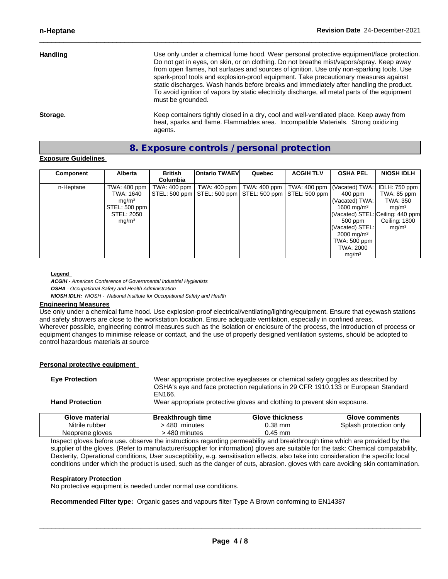| <b>Handling</b> | Use only under a chemical fume hood. Wear personal protective equipment/face protection.<br>Do not get in eyes, on skin, or on clothing. Do not breathe mist/vapors/spray. Keep away<br>from open flames, hot surfaces and sources of ignition. Use only non-sparking tools. Use<br>spark-proof tools and explosion-proof equipment. Take precautionary measures against<br>static discharges. Wash hands before breaks and immediately after handling the product.<br>To avoid ignition of vapors by static electricity discharge, all metal parts of the equipment<br>must be grounded. |  |
|-----------------|-------------------------------------------------------------------------------------------------------------------------------------------------------------------------------------------------------------------------------------------------------------------------------------------------------------------------------------------------------------------------------------------------------------------------------------------------------------------------------------------------------------------------------------------------------------------------------------------|--|
| Storage.        | Keep containers tightly closed in a dry, cool and well-ventilated place. Keep away from<br>heat, sparks and flame. Flammables area. Incompatible Materials. Strong oxidizing                                                                                                                                                                                                                                                                                                                                                                                                              |  |

## **8. Exposure controls / personal protection**

#### **Exposure Guidelines**

| Component | Alberta           | <b>British</b> | <b>Ontario TWAEVI</b>                                                      | Quebec | <b>ACGIH TLV</b> | <b>OSHA PEL</b>         | <b>NIOSH IDLH</b>                |
|-----------|-------------------|----------------|----------------------------------------------------------------------------|--------|------------------|-------------------------|----------------------------------|
|           |                   | Columbia       |                                                                            |        |                  |                         |                                  |
| n-Heptane | TWA: 400 ppm      |                | TWA: 400 ppm   TWA: 400 ppm   TWA: 400 ppm   TWA: 400 ppm   (Vacated) TWA: |        |                  |                         | IDLH: 750 ppm                    |
|           | TWA: 1640         |                | STEL: 500 ppm   STEL: 500 ppm   STEL: 500 ppm   STEL: 500 ppm              |        |                  | 400 ppm                 | TWA: 85 ppm                      |
|           | mq/m <sup>3</sup> |                |                                                                            |        |                  | (Vacated) TWA:          | TWA: 350                         |
|           | STEL: 500 ppm     |                |                                                                            |        |                  | 1600 mg/m $3$           | mq/m <sup>3</sup>                |
|           | STEL: 2050        |                |                                                                            |        |                  |                         | (Vacated) STEL: Ceiling: 440 ppm |
|           | mq/m <sup>3</sup> |                |                                                                            |        |                  | 500 ppm                 | Ceiling: 1800                    |
|           |                   |                |                                                                            |        |                  | (Vacated) STEL:         | ma/m <sup>3</sup>                |
|           |                   |                |                                                                            |        |                  | $2000 \; \text{mg/m}^3$ |                                  |
|           |                   |                |                                                                            |        |                  | <b>TWA: 500 ppm</b>     |                                  |
|           |                   |                |                                                                            |        |                  | TWA: 2000               |                                  |
|           |                   |                |                                                                            |        |                  | mq/m <sup>3</sup>       |                                  |

#### **Legend**

*ACGIH - American Conference of Governmental Industrial Hygienists OSHA - Occupational Safety and Health Administration NIOSH IDLH: NIOSH - National Institute for Occupational Safety and Health*

agents.

#### **Engineering Measures**

**Personal protective equipment**

Use only under a chemical fume hood. Use explosion-proof electrical/ventilating/lighting/equipment. Ensure that eyewash stations and safety showers are close to the workstation location. Ensure adequate ventilation, especially in confined areas. Wherever possible, engineering control measures such as the isolation or enclosure of the process, the introduction of process or equipment changes to minimise release or contact, and the use of properly designed ventilation systems, should be adopted to control hazardous materials at source

| Glove material         | <b>Breakthrough time</b> | <b>Glove thickness</b>                                                                                                                                                  | <b>Glove comments</b> |
|------------------------|--------------------------|-------------------------------------------------------------------------------------------------------------------------------------------------------------------------|-----------------------|
| <b>Hand Protection</b> |                          | Wear appropriate protective gloves and clothing to prevent skin exposure.                                                                                               |                       |
| <b>Eve Protection</b>  | EN166.                   | Wear appropriate protective eyeglasses or chemical safety goggles as described by<br>OSHA's eye and face protection regulations in 29 CFR 1910.133 or European Standard |                       |

| Glove material  | <b>Breakthrough time</b>                                                                                                                 | <b>Glove thickness</b> | Glove comments         |
|-----------------|------------------------------------------------------------------------------------------------------------------------------------------|------------------------|------------------------|
| Nitrile rubber  | 480 minutes                                                                                                                              | 0.38 mm                | Splash protection only |
| Neoprene gloves | 480 minutes                                                                                                                              | 0.45 mm                |                        |
|                 | has a studied to face the collection the basic face of a seally a sease of the seal has obtained the collected seased to all a the state |                        |                        |

Inspect gloves before use. observe the instructions regarding permeability and breakthrough time which are provided by the supplier of the gloves. (Refer to manufacturer/supplier for information) gloves are suitable for the task: Chemical compatability, Dexterity, Operational conditions, User susceptibility, e.g. sensitisation effects, also take into consideration the specific local conditions under which the product is used, such as the danger of cuts, abrasion. gloves with care avoiding skin contamination.

#### **Respiratory Protection**

No protective equipment is needed under normal use conditions.

**Recommended Filter type:** Organic gases and vapours filter Type A Brown conforming to EN14387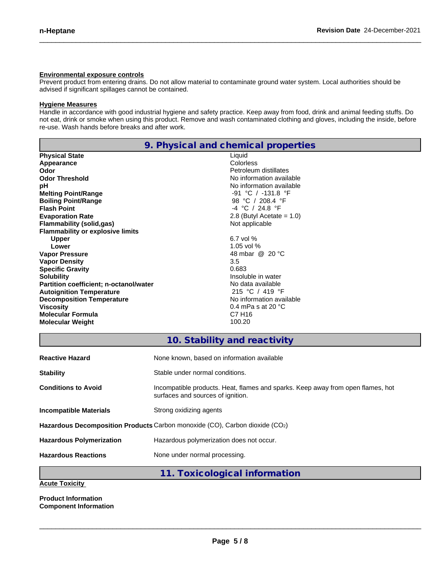#### **Environmental exposure controls**

Prevent product from entering drains. Do not allow material to contaminate ground water system. Local authorities should be advised if significant spillages cannot be contained.

#### **Hygiene Measures**

Handle in accordance with good industrial hygiene and safety practice. Keep away from food, drink and animal feeding stuffs. Do not eat, drink or smoke when using this product. Remove and wash contaminated clothing and gloves, including the inside, before re-use. Wash hands before breaks and after work.

| 9. Physical and chemical properties     |                                            |  |
|-----------------------------------------|--------------------------------------------|--|
| <b>Physical State</b>                   | Liquid                                     |  |
| Appearance                              | Colorless                                  |  |
| Odor                                    | Petroleum distillates                      |  |
| <b>Odor Threshold</b>                   | No information available                   |  |
| рH                                      | No information available                   |  |
| <b>Melting Point/Range</b>              | -91 °C / -131.8 °F                         |  |
| <b>Boiling Point/Range</b>              | 98 °C / 208.4 °F                           |  |
| <b>Flash Point</b>                      | $-4$ °C / 24.8 °F                          |  |
| <b>Evaporation Rate</b>                 | 2.8 (Butyl Acetate = $1.0$ )               |  |
| <b>Flammability (solid,gas)</b>         | Not applicable                             |  |
| <b>Flammability or explosive limits</b> |                                            |  |
| <b>Upper</b>                            | 6.7 vol %                                  |  |
| Lower                                   | 1.05 vol $%$                               |  |
| <b>Vapor Pressure</b>                   | 48 mbar @ 20 °C                            |  |
| <b>Vapor Density</b>                    | 3.5                                        |  |
| <b>Specific Gravity</b>                 | 0.683                                      |  |
| <b>Solubility</b>                       | Insoluble in water                         |  |
| Partition coefficient; n-octanol/water  | No data available                          |  |
| <b>Autoignition Temperature</b>         | 215 °C / 419 °F                            |  |
| <b>Decomposition Temperature</b>        | No information available                   |  |
| <b>Viscosity</b>                        | 0.4 mPa s at 20 $^{\circ}$ C               |  |
| <b>Molecular Formula</b>                | C7 H <sub>16</sub>                         |  |
| <b>Molecular Weight</b>                 | 100.20                                     |  |
|                                         |                                            |  |
|                                         | 10. Stability and reactivity               |  |
| <b>Reactive Hazard</b>                  | None known, based on information available |  |

| <b>Stability</b>                                                            | Stable under normal conditions.                                                                                      |  |
|-----------------------------------------------------------------------------|----------------------------------------------------------------------------------------------------------------------|--|
| <b>Conditions to Avoid</b>                                                  | Incompatible products. Heat, flames and sparks. Keep away from open flames, hot<br>surfaces and sources of ignition. |  |
| <b>Incompatible Materials</b>                                               | Strong oxidizing agents                                                                                              |  |
| Hazardous Decomposition Products Carbon monoxide (CO), Carbon dioxide (CO2) |                                                                                                                      |  |
| <b>Hazardous Polymerization</b>                                             | Hazardous polymerization does not occur.                                                                             |  |
| <b>Hazardous Reactions</b>                                                  | None under normal processing.                                                                                        |  |

**11. Toxicological information**

**Acute Toxicity**

**Product Information Component Information**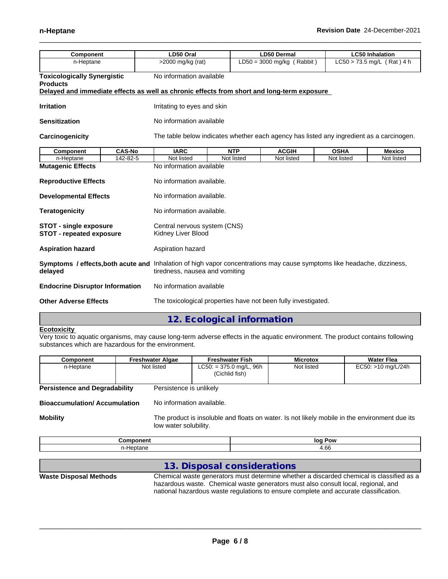| <b>Component</b>                                                 |               | LD50 Oral                                                                                                                                                 |                                                              | <b>LD50 Dermal</b>                                                                       |             | <b>LC50 Inhalation</b> |  |  |
|------------------------------------------------------------------|---------------|-----------------------------------------------------------------------------------------------------------------------------------------------------------|--------------------------------------------------------------|------------------------------------------------------------------------------------------|-------------|------------------------|--|--|
| n-Heptane                                                        |               | $>2000$ mg/kg (rat)                                                                                                                                       | $LD50 = 3000$ mg/kg (Rabbit)<br>$LC50 > 73.5$ mg/L (Rat) 4 h |                                                                                          |             |                        |  |  |
| <b>Toxicologically Synergistic</b><br><b>Products</b>            |               | No information available                                                                                                                                  |                                                              |                                                                                          |             |                        |  |  |
|                                                                  |               | Delayed and immediate effects as well as chronic effects from short and long-term exposure                                                                |                                                              |                                                                                          |             |                        |  |  |
| <b>Irritation</b>                                                |               | Irritating to eyes and skin                                                                                                                               |                                                              |                                                                                          |             |                        |  |  |
| <b>Sensitization</b>                                             |               | No information available                                                                                                                                  |                                                              |                                                                                          |             |                        |  |  |
| Carcinogenicity                                                  |               |                                                                                                                                                           |                                                              | The table below indicates whether each agency has listed any ingredient as a carcinogen. |             |                        |  |  |
| <b>Component</b>                                                 | <b>CAS-No</b> |                                                                                                                                                           | <b>NTP</b>                                                   | <b>ACGIH</b>                                                                             | <b>OSHA</b> | <b>Mexico</b>          |  |  |
| n-Heptane                                                        | 142-82-5      | Not listed                                                                                                                                                | Not listed                                                   | Not listed                                                                               | Not listed  | Not listed             |  |  |
| <b>Mutagenic Effects</b>                                         |               | No information available                                                                                                                                  |                                                              |                                                                                          |             |                        |  |  |
| <b>Reproductive Effects</b><br><b>Developmental Effects</b>      |               | No information available.                                                                                                                                 |                                                              |                                                                                          |             |                        |  |  |
|                                                                  |               | No information available.                                                                                                                                 |                                                              |                                                                                          |             |                        |  |  |
| <b>Teratogenicity</b>                                            |               | No information available.                                                                                                                                 |                                                              |                                                                                          |             |                        |  |  |
| <b>STOT - single exposure</b><br><b>STOT - repeated exposure</b> |               | Central nervous system (CNS)<br>Kidney Liver Blood                                                                                                        |                                                              |                                                                                          |             |                        |  |  |
| <b>Aspiration hazard</b>                                         |               | Aspiration hazard                                                                                                                                         |                                                              |                                                                                          |             |                        |  |  |
| delayed                                                          |               | Symptoms / effects, both acute and Inhalation of high vapor concentrations may cause symptoms like headache, dizziness,<br>tiredness, nausea and vomiting |                                                              |                                                                                          |             |                        |  |  |
|                                                                  |               |                                                                                                                                                           |                                                              |                                                                                          |             |                        |  |  |

**Other Adverse Effects** The toxicological properties have not been fully investigated.

## **12. Ecological information**

#### **Ecotoxicity**

Very toxic to aquatic organisms, may cause long-term adverse effects in the aquatic environment. The product contains following substances which are hazardous for the environment.

| Component                            | <b>Freshwater Algae</b> | <b>Freshwater Fish</b>                      | <b>Microtox</b> | Water Flea         |
|--------------------------------------|-------------------------|---------------------------------------------|-----------------|--------------------|
| n-Heptane                            | Not listed              | $LC50: = 375.0$ mg/L, 96h<br>(Cichlid fish) | Not listed      | EC50: >10 mg/L/24h |
| <b>Persistence and Degradability</b> | Persistence is unlikely |                                             |                 |                    |

**Bioaccumulation/ Accumulation** No information available.

**Mobility** The product is insoluble and floats on water. Is not likely mobile in the environment due its low water solubility.

| ------            | loc          |
|-------------------|--------------|
| $ -$              | Pow          |
| --                | . .          |
| ÷<br>. ווי<br>. . | $\sim$<br>uu |

|                               | 13. Disposal considerations                                                                                                                                                                                                                                           |
|-------------------------------|-----------------------------------------------------------------------------------------------------------------------------------------------------------------------------------------------------------------------------------------------------------------------|
| <b>Waste Disposal Methods</b> | Chemical waste generators must determine whether a discarded chemical is classified as a<br>hazardous waste. Chemical waste generators must also consult local, regional, and<br>national hazardous waste regulations to ensure complete and accurate classification. |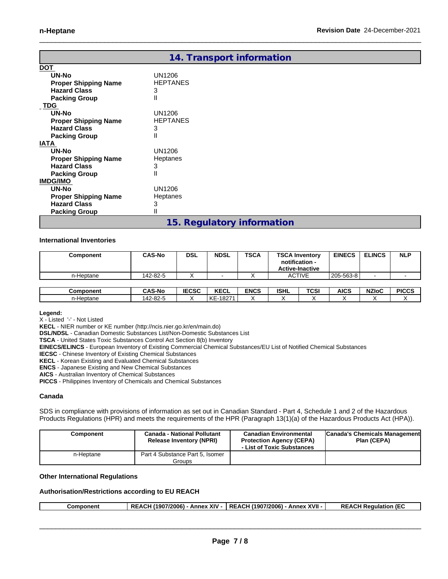|                             | 14. Transport information  |
|-----------------------------|----------------------------|
| <b>DOT</b>                  |                            |
| UN-No                       | UN1206                     |
| <b>Proper Shipping Name</b> | <b>HEPTANES</b>            |
| <b>Hazard Class</b>         | 3                          |
| <b>Packing Group</b>        | Ш                          |
| <b>TDG</b>                  |                            |
| UN-No                       | UN1206                     |
| <b>Proper Shipping Name</b> | <b>HEPTANES</b>            |
| <b>Hazard Class</b>         | 3                          |
| <b>Packing Group</b>        | Ш                          |
| <b>IATA</b>                 |                            |
| UN-No                       | UN1206                     |
| <b>Proper Shipping Name</b> | Heptanes                   |
| <b>Hazard Class</b>         | 3                          |
| <b>Packing Group</b>        | Ш                          |
| <b>IMDG/IMO</b>             |                            |
| UN-No                       | UN1206                     |
| <b>Proper Shipping Name</b> | Heptanes                   |
| <b>Hazard Class</b>         | 3                          |
| <b>Packing Group</b>        | II                         |
|                             | 15. Regulatory information |

#### **International Inventories**

| Component | <b>CAS-No</b> | <b>DSL</b>   | <b>NDSL</b> | <b>TSCA</b> | <b>TSCA Inventory</b> | notification -<br><b>Active-Inactive</b> | <b>EINECS</b> | <b>ELINCS</b> | <b>NLP</b>   |
|-----------|---------------|--------------|-------------|-------------|-----------------------|------------------------------------------|---------------|---------------|--------------|
| n-Heptane | 142-82-5      | $\lambda$    |             |             |                       | <b>ACTIVE</b>                            | 205-563-8     |               |              |
|           |               |              |             |             |                       |                                          |               |               |              |
| Component | <b>CAS-No</b> | <b>IECSC</b> | <b>KECL</b> | <b>ENCS</b> | <b>ISHL</b>           | TCSI                                     | AICS          | <b>NZIoC</b>  | <b>PICCS</b> |
| n-Heptane | 142-82-5      |              | l KE-18271  |             |                       |                                          |               |               |              |

#### **Legend:**

X - Listed '-' - Not Listed

**KECL** - NIER number or KE number (http://ncis.nier.go.kr/en/main.do)

**DSL/NDSL** - Canadian Domestic Substances List/Non-Domestic Substances List

**TSCA** - United States Toxic Substances Control Act Section 8(b) Inventory

**EINECS/ELINCS** - European Inventory of Existing Commercial Chemical Substances/EU List of Notified Chemical Substances

**IECSC** - Chinese Inventory of Existing Chemical Substances

**KECL** - Korean Existing and Evaluated Chemical Substances

**ENCS** - Japanese Existing and New Chemical Substances

**AICS** - Australian Inventory of Chemical Substances

**PICCS** - Philippines Inventory of Chemicals and Chemical Substances

#### **Canada**

SDS in compliance with provisions of information as set out in Canadian Standard - Part 4, Schedule 1 and 2 of the Hazardous Products Regulations (HPR) and meets the requirements of the HPR (Paragraph 13(1)(a) of the Hazardous Products Act (HPA)).

| Component | <b>Canada - National Pollutant</b><br><b>Release Inventory (NPRI)</b> | <b>Canadian Environmental</b><br><b>Protection Agency (CEPA)</b><br>- List of Toxic Substances | <b>Canada's Chemicals Management</b><br>Plan (CEPA) |
|-----------|-----------------------------------------------------------------------|------------------------------------------------------------------------------------------------|-----------------------------------------------------|
| n-Heptane | Part 4 Substance Part 5, Isomer<br>Groups                             |                                                                                                |                                                     |

#### **Other International Regulations**

### **Authorisation/Restrictions according to EU REACH**

| XIV<br>XVII<br>72006)<br>7/2006)<br>(190)<br>1190.<br><b>RE</b><br>Annex<br>Annex<br>:omponent<br>aulai<br>tıor<br>4 W.<br><b>TAL</b><br>$\cdots$ |
|---------------------------------------------------------------------------------------------------------------------------------------------------|
|---------------------------------------------------------------------------------------------------------------------------------------------------|